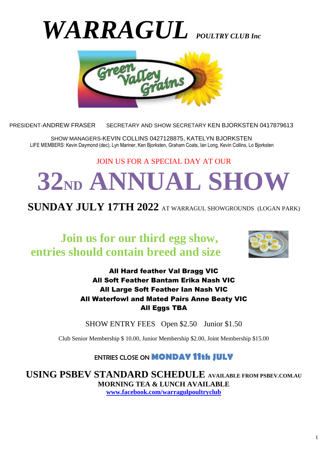# *WARRAGUL POULTRY CLUB Inc*



PRESIDENT-ANDREW FRASER SECRETARY AND SHOW SECRETARY KEN BJORKSTEN 0417879613

SHOW MANAGERS-KEVIN COLLINS 0427128875, KATELYN BJORKSTEN LIFE MEMBERS: Kevin Daymond (dec), Lyn Mariner, Ken Bjorksten, Graham Coats, Ian Long, Kevin Collins, Lo Bjorksten

#### JOIN US FOR A SPECIAL DAY AT OUR

## **32ND ANNUAL SHOW**

#### **SUNDAY JULY 17TH 2022** AT WARRAGUL SHOWGROUNDS (LOGAN PARK)

 **Join us for our third egg show, entries should contain breed and size** 



All Hard feather Val Bragg VIC All Soft Feather Bantam Erika Nash VIC All Large Soft Feather Ian Nash VIC All Waterfowl and Mated Pairs Anne Beaty VIC All Eggs TBA

SHOW ENTRY FEES Open \$2.50 Junior \$1.50

Club Senior Membership \$ 10.00, Junior Membership \$2.00, Joint Membership \$15.00

#### ENTRIES CLOSE ON **MONDAY 11th JULY**

**USING PSBEV STANDARD SCHEDULE AVAILABLE FROM PSBEV.COM.AU MORNING TEA & LUNCH AVAILABLE [www.facebook.com/warragulpoultryclub](http://www.facebook.com/warragulpoultryclub)**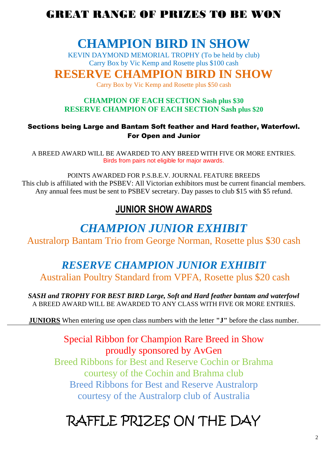#### GREAT RANGE OF PRIZES TO BE WON

#### **CHAMPION BIRD IN SHOW**

KEVIN DAYMOND MEMORIAL TROPHY (To be held by club) Carry Box by Vic Kemp and Rosette plus \$100 cash

#### **RESERVE CHAMPION BIRD IN SHOW**

Carry Box by Vic Kemp and Rosette plus \$50 cash

#### **CHAMPION OF EACH SECTION Sash plus \$30 RESERVE CHAMPION OF EACH SECTION Sash plus \$20**

#### Sections being Large and Bantam Soft feather and Hard feather, Waterfowl. For Open and Junior

A BREED AWARD WILL BE AWARDED TO ANY BREED WITH FIVE OR MORE ENTRIES. Birds from pairs not eligible for major awards.

POINTS AWARDED FOR P.S.B.E.V. JOURNAL FEATURE BREEDS This club is affiliated with the PSBEV: All Victorian exhibitors must be current financial members. Any annual fees must be sent to PSBEV secretary. Day passes to club \$15 with \$5 refund.

#### **JUNIOR SHOW AWARDS**

#### *CHAMPION JUNIOR EXHIBIT*

Australorp Bantam Trio from George Norman, Rosette plus \$30 cash

#### *RESERVE CHAMPION JUNIOR EXHIBIT*

Australian Poultry Standard from VPFA, Rosette plus \$20 cash

*SASH and TROPHY FOR BEST BIRD Large, Soft and Hard feather bantam and waterfowl* A BREED AWARD WILL BE AWARDED TO ANY CLASS WITH FIVE OR MORE ENTRIES.

**JUNIORS** When entering use open class numbers with the letter **"J"** before the class number.

Special Ribbon for Champion Rare Breed in Show proudly sponsored by AvGen Breed Ribbons for Best and Reserve Cochin or Brahma courtesy of the Cochin and Brahma club Breed Ribbons for Best and Reserve Australorp courtesy of the Australorp club of Australia

## RAFFLE PRIZES ON THE DAY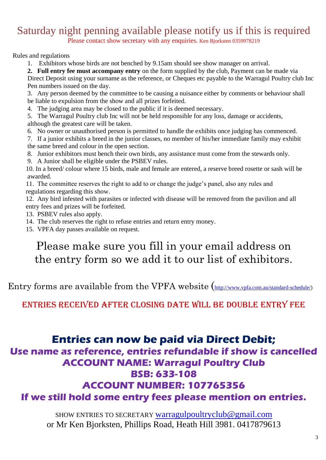#### Saturday night penning available please notify us if this is required

Please contact show secretary with any enquiries. Ken Bjorksten 0359978219

Rules and regulations

1. Exhibitors whose birds are not benched by 9.15am should see show manager on arrival.

 **2. Full entry fee must accompany entry** on the form supplied by the club, Payment can be made via Direct Deposit using your surname as the reference, or Cheques etc payable to the Warragul Poultry club Inc Pen numbers issued on the day.

 3. Any person deemed by the committee to be causing a nuisance either by comments or behaviour shall be liable to expulsion from the show and all prizes forfeited.

4. The judging area may be closed to the public if it is deemed necessary.

 5. The Warragul Poultry club Inc will not be held responsible for any loss, damage or accidents, although the greatest care will be taken.

- 6. No owner or unauthorised person is permitted to handle the exhibits once judging has commenced.
- 7. If a junior exhibits a breed in the junior classes, no member of his/her immediate family may exhibit the same breed and colour in the open section.
- 8. Junior exhibitors must bench their own birds, any assistance must come from the stewards only.
- 9. A Junior shall be eligible under the PSBEV rules.

 10. In a breed/ colour where 15 birds, male and female are entered, a reserve breed rosette or sash will be awarded.

 11. The committee reserves the right to add to or change the judge's panel, also any rules and regulations regarding this show.

 12. Any bird infested with parasites or infected with disease will be removed from the pavilion and all entry fees and prizes will be forfeited.

- 13. PSBEV rules also apply.
- 14. The club reserves the right to refuse entries and return entry money.
- 15. VPFA day passes available on request.

#### Please make sure you fill in your email address on the entry form so we add it to our list of exhibitors.

Entry forms are available from the VPFA website ([http://www.vpfa.com.au/standard-schedule/\)](http://www.vpfa.com.au/standard-schedule/)

ENTRIES RECEIVED AFTER CLOSING DATE WILL BE DOUBLE ENTRY FEE

#### **Entries can now be paid via Direct Debit;**

#### **Use name as reference, entries refundable if show is cancelled ACCOUNT NAME: Warragul Poultry Club BSB: 633-108 ACCOUNT NUMBER: 107765356**

#### **If we still hold some entry fees please mention on entries.**

SHOW ENTRIES TO SECRETARY warragulpoultryclub@gmail.com or Mr Ken Bjorksten, Phillips Road, Heath Hill 3981. 0417879613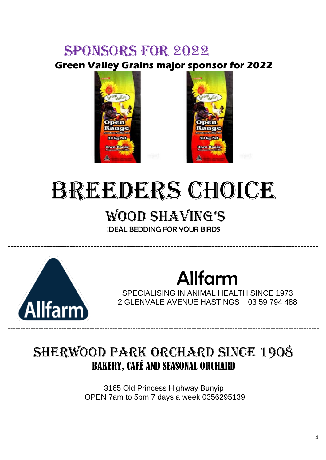### SPONSORS FOR 2022

**Green Valley Grains major sponsor for 2022**





# BREEDERS CHOICE

#### WOOD SHAVING'S IDEAL BEDDING FOR YOUR BIRDS

---------------------------------------------------------------------------------------------------------



## Allfarm

SPECIALISING IN ANIMAL HEALTH SINCE 1973 2 GLENVALE AVENUE HASTINGS 03 59 794 488

### SHERWOOD PARK ORCHARD SINCE 1908 BAKERY, CAFÉ AND SEASONAL ORCHARD

3165 Old Princess Highway Bunyip OPEN 7am to 5pm 7 days a week 0356295139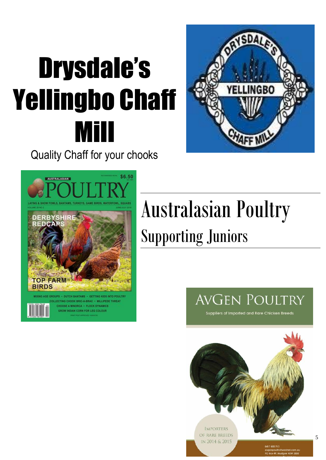# Drysdale's Yellingbo Chaff **Mill**

Quality Chaff for your chooks





## Australasian Poultry Supporting Juniors

## **AVGEN POULTRY**

Suppliers of Imported and Rare Chicken Breeds